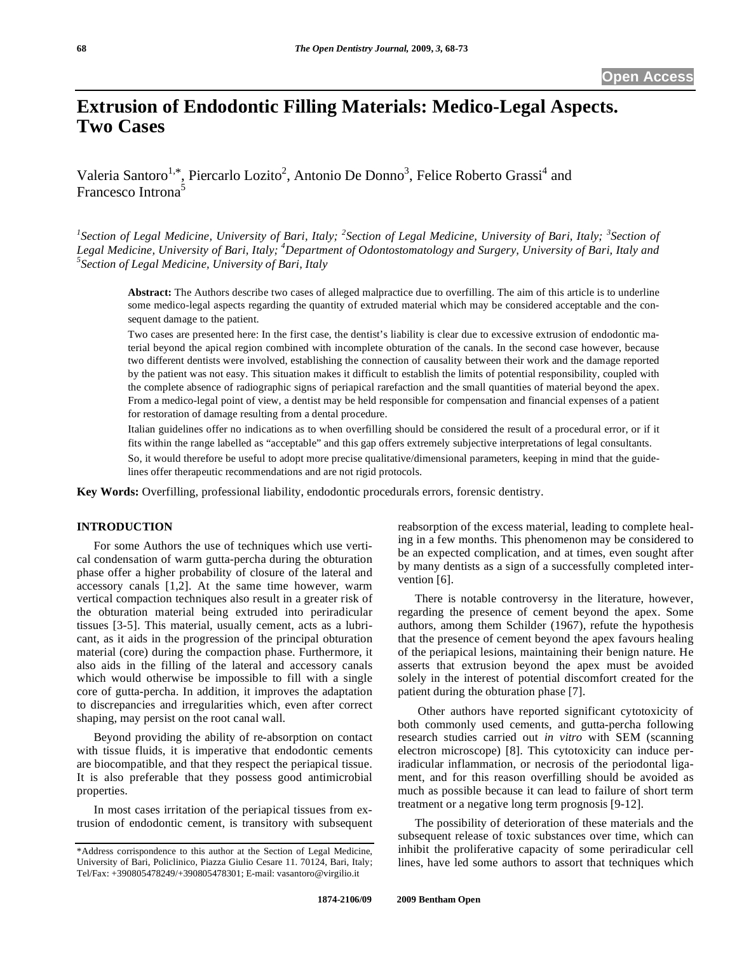# **Extrusion of Endodontic Filling Materials: Medico-Legal Aspects. Two Cases**

Valeria Santoro<sup>1,\*</sup>, Piercarlo Lozito<sup>2</sup>, Antonio De Donno<sup>3</sup>, Felice Roberto Grassi<sup>4</sup> and Francesco Introna<sup>5</sup>

<sup>1</sup> Section of Legal Medicine, University of Bari, Italy; <sup>2</sup> Section of Legal Medicine, University of Bari, Italy; <sup>3</sup> Section of Legal Medicine, University of Bari, Italy; <sup>4</sup>Department of Odontostomatology and Surgery, University of Bari, Italy and<br><sup>5</sup>Section of Legal Medicine, University of Bari, Italy *Section of Legal Medicine, University of Bari, Italy* 

**Abstract:** The Authors describe two cases of alleged malpractice due to overfilling. The aim of this article is to underline some medico-legal aspects regarding the quantity of extruded material which may be considered acceptable and the consequent damage to the patient.

Two cases are presented here: In the first case, the dentist's liability is clear due to excessive extrusion of endodontic material beyond the apical region combined with incomplete obturation of the canals. In the second case however, because two different dentists were involved, establishing the connection of causality between their work and the damage reported by the patient was not easy. This situation makes it difficult to establish the limits of potential responsibility, coupled with the complete absence of radiographic signs of periapical rarefaction and the small quantities of material beyond the apex. From a medico-legal point of view, a dentist may be held responsible for compensation and financial expenses of a patient for restoration of damage resulting from a dental procedure.

Italian guidelines offer no indications as to when overfilling should be considered the result of a procedural error, or if it fits within the range labelled as "acceptable" and this gap offers extremely subjective interpretations of legal consultants.

So, it would therefore be useful to adopt more precise qualitative/dimensional parameters, keeping in mind that the guidelines offer therapeutic recommendations and are not rigid protocols.

**Key Words:** Overfilling, professional liability, endodontic procedurals errors, forensic dentistry.

# **INTRODUCTION**

 For some Authors the use of techniques which use vertical condensation of warm gutta-percha during the obturation phase offer a higher probability of closure of the lateral and accessory canals [1,2]. At the same time however, warm vertical compaction techniques also result in a greater risk of the obturation material being extruded into periradicular tissues [3-5]. This material, usually cement, acts as a lubricant, as it aids in the progression of the principal obturation material (core) during the compaction phase. Furthermore, it also aids in the filling of the lateral and accessory canals which would otherwise be impossible to fill with a single core of gutta-percha. In addition, it improves the adaptation to discrepancies and irregularities which, even after correct shaping, may persist on the root canal wall.

 Beyond providing the ability of re-absorption on contact with tissue fluids, it is imperative that endodontic cements are biocompatible, and that they respect the periapical tissue. It is also preferable that they possess good antimicrobial properties.

 In most cases irritation of the periapical tissues from extrusion of endodontic cement, is transitory with subsequent reabsorption of the excess material, leading to complete healing in a few months. This phenomenon may be considered to be an expected complication, and at times, even sought after by many dentists as a sign of a successfully completed intervention [6].

 There is notable controversy in the literature, however, regarding the presence of cement beyond the apex. Some authors, among them Schilder (1967), refute the hypothesis that the presence of cement beyond the apex favours healing of the periapical lesions, maintaining their benign nature. He asserts that extrusion beyond the apex must be avoided solely in the interest of potential discomfort created for the patient during the obturation phase [7].

 Other authors have reported significant cytotoxicity of both commonly used cements, and gutta-percha following research studies carried out *in vitro* with SEM (scanning electron microscope) [8]. This cytotoxicity can induce periradicular inflammation, or necrosis of the periodontal ligament, and for this reason overfilling should be avoided as much as possible because it can lead to failure of short term treatment or a negative long term prognosis [9-12].

 The possibility of deterioration of these materials and the subsequent release of toxic substances over time, which can inhibit the proliferative capacity of some periradicular cell lines, have led some authors to assort that techniques which

<sup>\*</sup>Address corrispondence to this author at the Section of Legal Medicine, University of Bari, Policlinico, Piazza Giulio Cesare 11. 70124, Bari, Italy; Tel/Fax: +390805478249/+390805478301; E-mail: vasantoro@virgilio.it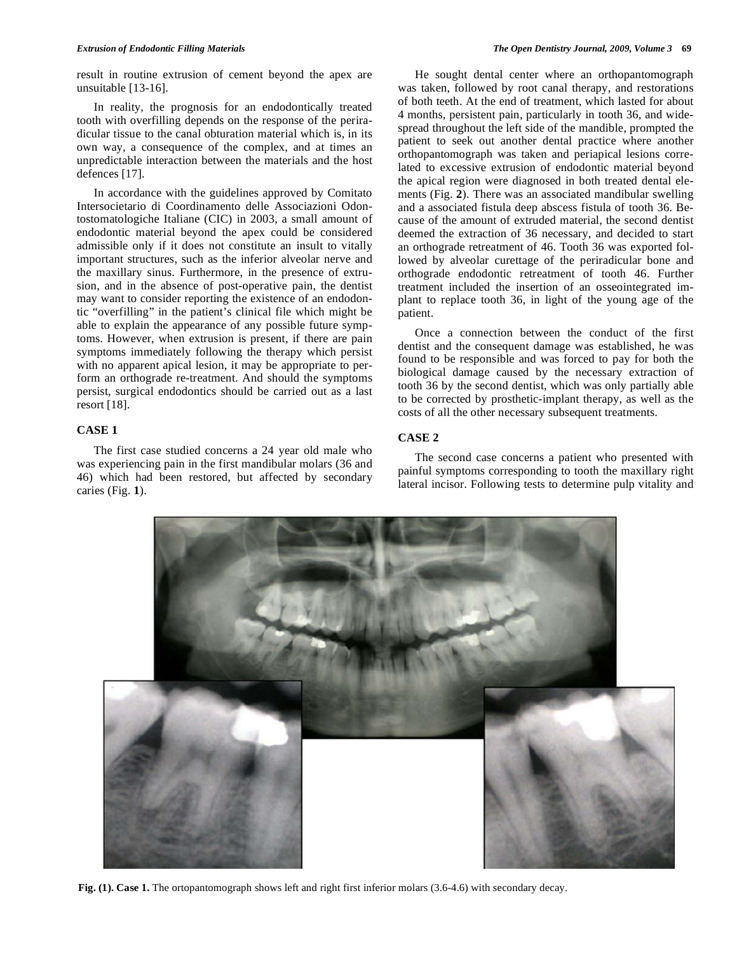result in routine extrusion of cement beyond the apex are unsuitable [13-16].

 In reality, the prognosis for an endodontically treated tooth with overfilling depends on the response of the periradicular tissue to the canal obturation material which is, in its own way, a consequence of the complex, and at times an unpredictable interaction between the materials and the host defences [17].

 In accordance with the guidelines approved by Comitato Intersocietario di Coordinamento delle Associazioni Odontostomatologiche Italiane (CIC) in 2003, a small amount of endodontic material beyond the apex could be considered admissible only if it does not constitute an insult to vitally important structures, such as the inferior alveolar nerve and the maxillary sinus. Furthermore, in the presence of extrusion, and in the absence of post-operative pain, the dentist may want to consider reporting the existence of an endodontic "overfilling" in the patient's clinical file which might be able to explain the appearance of any possible future symptoms. However, when extrusion is present, if there are pain symptoms immediately following the therapy which persist with no apparent apical lesion, it may be appropriate to perform an orthograde re-treatment. And should the symptoms persist, surgical endodontics should be carried out as a last resort [18].

# **CASE 1**

 The first case studied concerns a 24 year old male who was experiencing pain in the first mandibular molars (36 and 46) which had been restored, but affected by secondary caries (Fig. **1**).

 He sought dental center where an orthopantomograph was taken, followed by root canal therapy, and restorations of both teeth. At the end of treatment, which lasted for about 4 months, persistent pain, particularly in tooth 36, and widespread throughout the left side of the mandible, prompted the patient to seek out another dental practice where another orthopantomograph was taken and periapical lesions correlated to excessive extrusion of endodontic material beyond the apical region were diagnosed in both treated dental elements (Fig. **2**). There was an associated mandibular swelling and a associated fistula deep abscess fistula of tooth 36. Because of the amount of extruded material, the second dentist deemed the extraction of 36 necessary, and decided to start an orthograde retreatment of 46. Tooth 36 was exported followed by alveolar curettage of the periradicular bone and orthograde endodontic retreatment of tooth 46. Further treatment included the insertion of an osseointegrated implant to replace tooth 36, in light of the young age of the patient.

 Once a connection between the conduct of the first dentist and the consequent damage was established, he was found to be responsible and was forced to pay for both the biological damage caused by the necessary extraction of tooth 36 by the second dentist, which was only partially able to be corrected by prosthetic-implant therapy, as well as the costs of all the other necessary subsequent treatments.

# **CASE 2**

 The second case concerns a patient who presented with painful symptoms corresponding to tooth the maxillary right lateral incisor. Following tests to determine pulp vitality and



**Fig. (1). Case 1.** The ortopantomograph shows left and right first inferior molars (3.6-4.6) with secondary decay.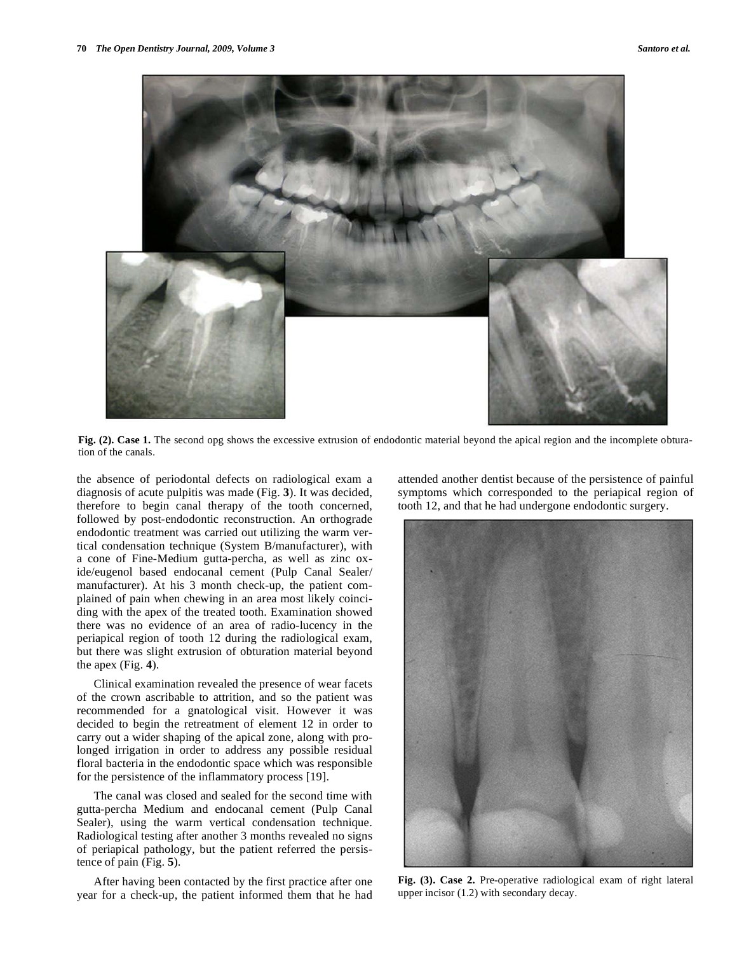

**Fig. (2). Case 1.** The second opg shows the excessive extrusion of endodontic material beyond the apical region and the incomplete obturation of the canals.

the absence of periodontal defects on radiological exam a diagnosis of acute pulpitis was made (Fig. **3**). It was decided, therefore to begin canal therapy of the tooth concerned, followed by post-endodontic reconstruction. An orthograde endodontic treatment was carried out utilizing the warm vertical condensation technique (System B/manufacturer), with a cone of Fine-Medium gutta-percha, as well as zinc oxide/eugenol based endocanal cement (Pulp Canal Sealer/ manufacturer). At his 3 month check-up, the patient complained of pain when chewing in an area most likely coinciding with the apex of the treated tooth. Examination showed there was no evidence of an area of radio-lucency in the periapical region of tooth 12 during the radiological exam, but there was slight extrusion of obturation material beyond the apex (Fig. **4**).

 Clinical examination revealed the presence of wear facets of the crown ascribable to attrition, and so the patient was recommended for a gnatological visit. However it was decided to begin the retreatment of element 12 in order to carry out a wider shaping of the apical zone, along with prolonged irrigation in order to address any possible residual floral bacteria in the endodontic space which was responsible for the persistence of the inflammatory process [19].

 The canal was closed and sealed for the second time with gutta-percha Medium and endocanal cement (Pulp Canal Sealer), using the warm vertical condensation technique. Radiological testing after another 3 months revealed no signs of periapical pathology, but the patient referred the persistence of pain (Fig. **5**).

 After having been contacted by the first practice after one year for a check-up, the patient informed them that he had attended another dentist because of the persistence of painful symptoms which corresponded to the periapical region of tooth 12, and that he had undergone endodontic surgery.



**Fig. (3). Case 2.** Pre-operative radiological exam of right lateral upper incisor (1.2) with secondary decay.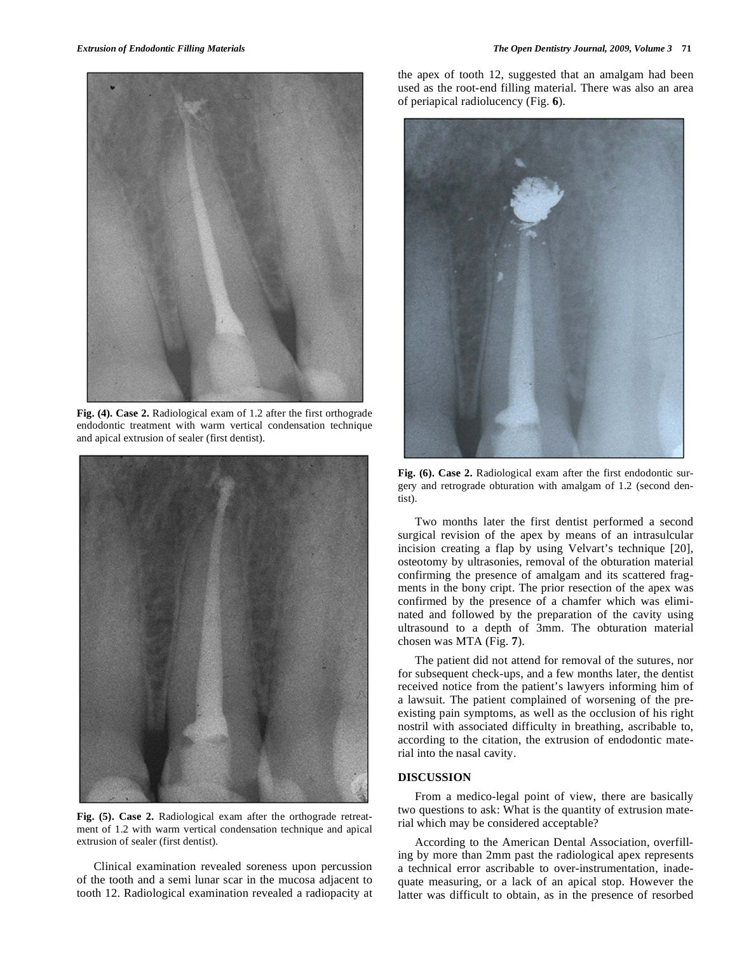

**Fig. (4). Case 2.** Radiological exam of 1.2 after the first orthograde endodontic treatment with warm vertical condensation technique and apical extrusion of sealer (first dentist).



**Fig. (5). Case 2.** Radiological exam after the orthograde retreatment of 1.2 with warm vertical condensation technique and apical extrusion of sealer (first dentist).

 Clinical examination revealed soreness upon percussion of the tooth and a semi lunar scar in the mucosa adjacent to tooth 12. Radiological examination revealed a radiopacity at the apex of tooth 12, suggested that an amalgam had been used as the root-end filling material. There was also an area of periapical radiolucency (Fig. **6**).



**Fig. (6). Case 2.** Radiological exam after the first endodontic surgery and retrograde obturation with amalgam of 1.2 (second dentist).

 Two months later the first dentist performed a second surgical revision of the apex by means of an intrasulcular incision creating a flap by using Velvart's technique [20], osteotomy by ultrasonies, removal of the obturation material confirming the presence of amalgam and its scattered fragments in the bony cript. The prior resection of the apex was confirmed by the presence of a chamfer which was eliminated and followed by the preparation of the cavity using ultrasound to a depth of 3mm. The obturation material chosen was MTA (Fig. **7**).

 The patient did not attend for removal of the sutures, nor for subsequent check-ups, and a few months later, the dentist received notice from the patient's lawyers informing him of a lawsuit. The patient complained of worsening of the preexisting pain symptoms, as well as the occlusion of his right nostril with associated difficulty in breathing, ascribable to, according to the citation, the extrusion of endodontic material into the nasal cavity.

## **DISCUSSION**

 From a medico-legal point of view, there are basically two questions to ask: What is the quantity of extrusion material which may be considered acceptable?

 According to the American Dental Association, overfilling by more than 2mm past the radiological apex represents a technical error ascribable to over-instrumentation, inadequate measuring, or a lack of an apical stop. However the latter was difficult to obtain, as in the presence of resorbed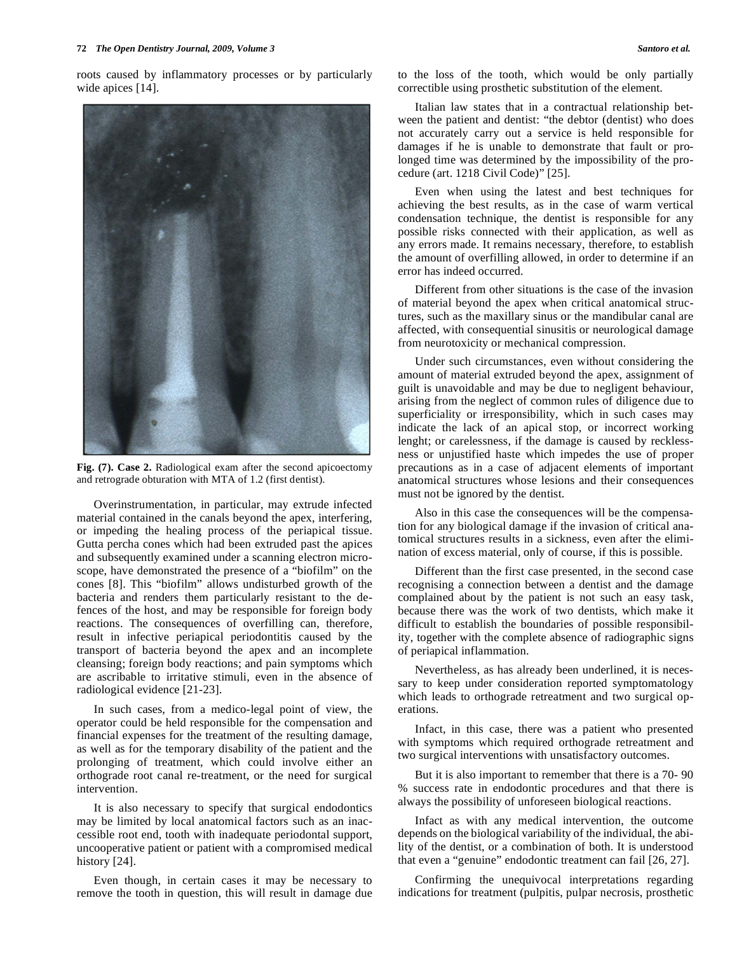roots caused by inflammatory processes or by particularly wide apices [14].



**Fig. (7). Case 2.** Radiological exam after the second apicoectomy and retrograde obturation with MTA of 1.2 (first dentist).

 Overinstrumentation, in particular, may extrude infected material contained in the canals beyond the apex, interfering, or impeding the healing process of the periapical tissue. Gutta percha cones which had been extruded past the apices and subsequently examined under a scanning electron microscope, have demonstrated the presence of a "biofilm" on the cones [8]. This "biofilm" allows undisturbed growth of the bacteria and renders them particularly resistant to the defences of the host, and may be responsible for foreign body reactions. The consequences of overfilling can, therefore, result in infective periapical periodontitis caused by the transport of bacteria beyond the apex and an incomplete cleansing; foreign body reactions; and pain symptoms which are ascribable to irritative stimuli, even in the absence of radiological evidence [21-23].

 In such cases, from a medico-legal point of view, the operator could be held responsible for the compensation and financial expenses for the treatment of the resulting damage, as well as for the temporary disability of the patient and the prolonging of treatment, which could involve either an orthograde root canal re-treatment, or the need for surgical intervention.

 It is also necessary to specify that surgical endodontics may be limited by local anatomical factors such as an inaccessible root end, tooth with inadequate periodontal support, uncooperative patient or patient with a compromised medical history [24].

 Even though, in certain cases it may be necessary to remove the tooth in question, this will result in damage due to the loss of the tooth, which would be only partially correctible using prosthetic substitution of the element.

 Italian law states that in a contractual relationship between the patient and dentist: "the debtor (dentist) who does not accurately carry out a service is held responsible for damages if he is unable to demonstrate that fault or prolonged time was determined by the impossibility of the procedure (art. 1218 Civil Code)" [25].

 Even when using the latest and best techniques for achieving the best results, as in the case of warm vertical condensation technique, the dentist is responsible for any possible risks connected with their application, as well as any errors made. It remains necessary, therefore, to establish the amount of overfilling allowed, in order to determine if an error has indeed occurred.

 Different from other situations is the case of the invasion of material beyond the apex when critical anatomical structures, such as the maxillary sinus or the mandibular canal are affected, with consequential sinusitis or neurological damage from neurotoxicity or mechanical compression.

 Under such circumstances, even without considering the amount of material extruded beyond the apex, assignment of guilt is unavoidable and may be due to negligent behaviour, arising from the neglect of common rules of diligence due to superficiality or irresponsibility, which in such cases may indicate the lack of an apical stop, or incorrect working lenght; or carelessness, if the damage is caused by recklessness or unjustified haste which impedes the use of proper precautions as in a case of adjacent elements of important anatomical structures whose lesions and their consequences must not be ignored by the dentist.

 Also in this case the consequences will be the compensation for any biological damage if the invasion of critical anatomical structures results in a sickness, even after the elimination of excess material, only of course, if this is possible.

 Different than the first case presented, in the second case recognising a connection between a dentist and the damage complained about by the patient is not such an easy task, because there was the work of two dentists, which make it difficult to establish the boundaries of possible responsibility, together with the complete absence of radiographic signs of periapical inflammation.

 Nevertheless, as has already been underlined, it is necessary to keep under consideration reported symptomatology which leads to orthograde retreatment and two surgical operations.

 Infact, in this case, there was a patient who presented with symptoms which required orthograde retreatment and two surgical interventions with unsatisfactory outcomes.

 But it is also important to remember that there is a 70- 90 % success rate in endodontic procedures and that there is always the possibility of unforeseen biological reactions.

 Infact as with any medical intervention, the outcome depends on the biological variability of the individual, the ability of the dentist, or a combination of both. It is understood that even a "genuine" endodontic treatment can fail [26, 27].

 Confirming the unequivocal interpretations regarding indications for treatment (pulpitis, pulpar necrosis, prosthetic